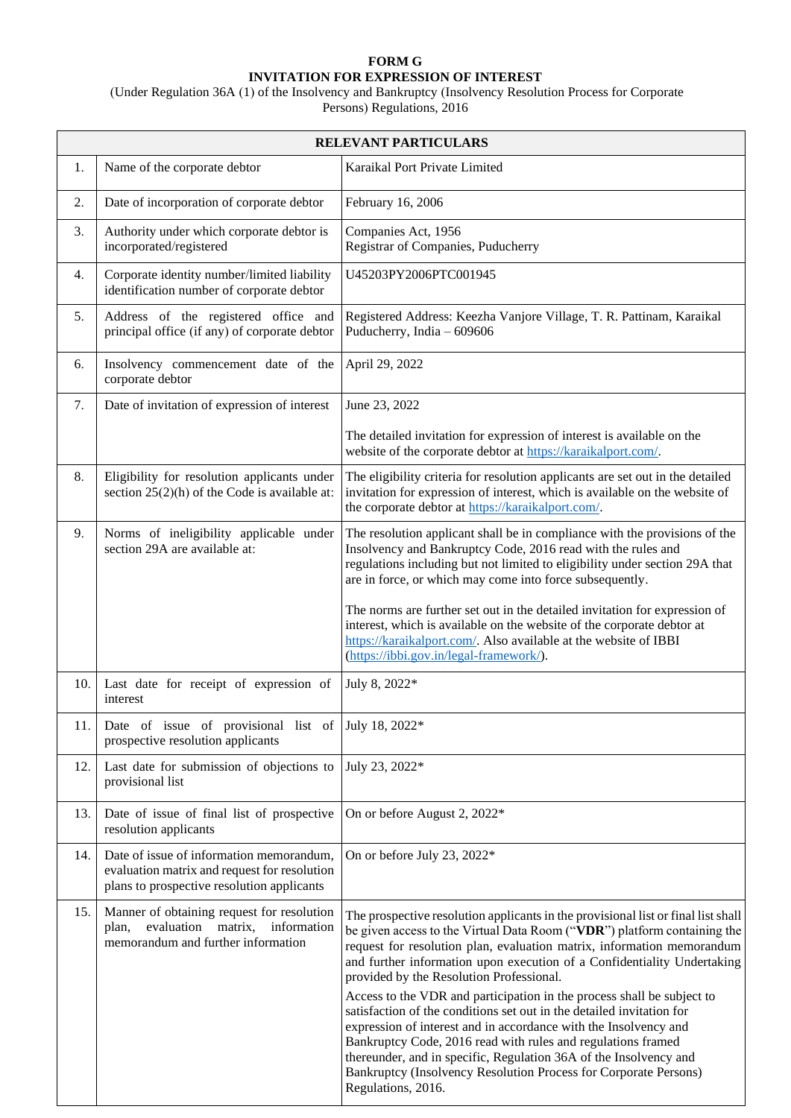## **FORM G INVITATION FOR EXPRESSION OF INTEREST**

(Under Regulation 36A (1) of the Insolvency and Bankruptcy (Insolvency Resolution Process for Corporate Persons) Regulations, 2016

| <b>RELEVANT PARTICULARS</b> |                                                                                                                                        |                                                                                                                                                                                                                                                                                                                                                                                                                                                                                                                                                                                                                                                       |
|-----------------------------|----------------------------------------------------------------------------------------------------------------------------------------|-------------------------------------------------------------------------------------------------------------------------------------------------------------------------------------------------------------------------------------------------------------------------------------------------------------------------------------------------------------------------------------------------------------------------------------------------------------------------------------------------------------------------------------------------------------------------------------------------------------------------------------------------------|
| 1.                          | Name of the corporate debtor                                                                                                           | Karaikal Port Private Limited                                                                                                                                                                                                                                                                                                                                                                                                                                                                                                                                                                                                                         |
| 2.                          | Date of incorporation of corporate debtor                                                                                              | February 16, 2006                                                                                                                                                                                                                                                                                                                                                                                                                                                                                                                                                                                                                                     |
| 3.                          | Authority under which corporate debtor is<br>incorporated/registered                                                                   | Companies Act, 1956<br>Registrar of Companies, Puducherry                                                                                                                                                                                                                                                                                                                                                                                                                                                                                                                                                                                             |
| 4.                          | Corporate identity number/limited liability<br>identification number of corporate debtor                                               | U45203PY2006PTC001945                                                                                                                                                                                                                                                                                                                                                                                                                                                                                                                                                                                                                                 |
| 5.                          | Address of the registered office and<br>principal office (if any) of corporate debtor                                                  | Registered Address: Keezha Vanjore Village, T. R. Pattinam, Karaikal<br>Puducherry, India - 609606                                                                                                                                                                                                                                                                                                                                                                                                                                                                                                                                                    |
| 6.                          | Insolvency commencement date of the<br>corporate debtor                                                                                | April 29, 2022                                                                                                                                                                                                                                                                                                                                                                                                                                                                                                                                                                                                                                        |
| 7.                          | Date of invitation of expression of interest                                                                                           | June 23, 2022                                                                                                                                                                                                                                                                                                                                                                                                                                                                                                                                                                                                                                         |
|                             |                                                                                                                                        | The detailed invitation for expression of interest is available on the<br>website of the corporate debtor at https://karaikalport.com/.                                                                                                                                                                                                                                                                                                                                                                                                                                                                                                               |
| 8.                          | Eligibility for resolution applicants under<br>section $25(2)(h)$ of the Code is available at:                                         | The eligibility criteria for resolution applicants are set out in the detailed<br>invitation for expression of interest, which is available on the website of<br>the corporate debtor at https://karaikalport.com/.                                                                                                                                                                                                                                                                                                                                                                                                                                   |
| 9.                          | Norms of ineligibility applicable under<br>section 29A are available at:                                                               | The resolution applicant shall be in compliance with the provisions of the<br>Insolvency and Bankruptcy Code, 2016 read with the rules and<br>regulations including but not limited to eligibility under section 29A that<br>are in force, or which may come into force subsequently.                                                                                                                                                                                                                                                                                                                                                                 |
|                             |                                                                                                                                        | The norms are further set out in the detailed invitation for expression of<br>interest, which is available on the website of the corporate debtor at<br>https://karaikalport.com/. Also available at the website of IBBI<br>(https://ibbi.gov.in/legal-framework/).                                                                                                                                                                                                                                                                                                                                                                                   |
| 10.                         | Last date for receipt of expression of<br>interest                                                                                     | July 8, 2022*                                                                                                                                                                                                                                                                                                                                                                                                                                                                                                                                                                                                                                         |
|                             | 11.   Date of issue of provisional list of July 18, 2022*<br>prospective resolution applicants                                         |                                                                                                                                                                                                                                                                                                                                                                                                                                                                                                                                                                                                                                                       |
| 12.                         | Last date for submission of objections to<br>provisional list                                                                          | July 23, 2022*                                                                                                                                                                                                                                                                                                                                                                                                                                                                                                                                                                                                                                        |
| 13.                         | Date of issue of final list of prospective<br>resolution applicants                                                                    | On or before August 2, 2022*                                                                                                                                                                                                                                                                                                                                                                                                                                                                                                                                                                                                                          |
| 14.                         | Date of issue of information memorandum,<br>evaluation matrix and request for resolution<br>plans to prospective resolution applicants | On or before July 23, 2022*                                                                                                                                                                                                                                                                                                                                                                                                                                                                                                                                                                                                                           |
| 15.                         | Manner of obtaining request for resolution<br>information<br>evaluation<br>matrix,<br>plan,<br>memorandum and further information      | The prospective resolution applicants in the provisional list or final list shall<br>be given access to the Virtual Data Room ("VDR") platform containing the<br>request for resolution plan, evaluation matrix, information memorandum<br>and further information upon execution of a Confidentiality Undertaking<br>provided by the Resolution Professional.<br>Access to the VDR and participation in the process shall be subject to<br>satisfaction of the conditions set out in the detailed invitation for<br>expression of interest and in accordance with the Insolvency and<br>Bankruptcy Code, 2016 read with rules and regulations framed |
|                             |                                                                                                                                        | thereunder, and in specific, Regulation 36A of the Insolvency and<br>Bankruptcy (Insolvency Resolution Process for Corporate Persons)<br>Regulations, 2016.                                                                                                                                                                                                                                                                                                                                                                                                                                                                                           |